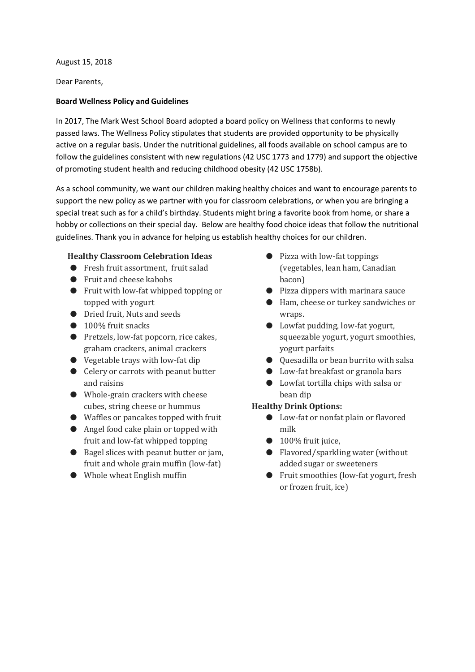August 15, 2018

Dear Parents,

### **Board Wellness Policy and Guidelines**

In 2017, The Mark West School Board adopted a board policy on Wellness that conforms to newly passed laws. The Wellness Policy stipulates that students are provided opportunity to be physically active on a regular basis. Under the nutritional guidelines, all foods available on school campus are to follow the guidelines consistent with new regulations (42 USC 1773 and 1779) and support the objective of promoting student health and reducing childhood obesity (42 USC 1758b).

As a school community, we want our children making healthy choices and want to encourage parents to support the new policy as we partner with you for classroom celebrations, or when you are bringing a special treat such as for a child's birthday. Students might bring a favorite book from home, or share a hobby or collections on their special day. Below are healthy food choice ideas that follow the nutritional guidelines. Thank you in advance for helping us establish healthy choices for our children.

## **Healthy Classroom Celebration Ideas**

- Fresh fruit assortment, fruit salad
- Fruit and cheese kabobs
- Fruit with low-fat whipped topping or topped with yogurt
- Dried fruit, Nuts and seeds
- 100% fruit snacks
- Pretzels, low-fat popcorn, rice cakes, graham crackers, animal crackers
- Vegetable trays with low-fat dip
- Celery or carrots with peanut butter and raisins
- Whole-grain crackers with cheese cubes, string cheese or hummus
- Waffles or pancakes topped with fruit
- Angel food cake plain or topped with fruit and low-fat whipped topping
- Bagel slices with peanut butter or jam, fruit and whole grain muffin (low-fat)
- Whole wheat English muffin
- Pizza with low-fat toppings (vegetables, lean ham, Canadian bacon)
- Pizza dippers with marinara sauce
- Ham, cheese or turkey sandwiches or wraps.
- Lowfat pudding, low-fat yogurt, squeezable yogurt, yogurt smoothies, yogurt parfaits
- Quesadilla or bean burrito with salsa
- Low-fat breakfast or granola bars
- Lowfat tortilla chips with salsa or bean dip

# **Healthy Drink Options:**

- Low-fat or nonfat plain or flavored milk
- $\bullet$  100% fruit juice,
- Flavored/sparkling water (without added sugar or sweeteners
- Fruit smoothies (low-fat yogurt, fresh or frozen fruit, ice)